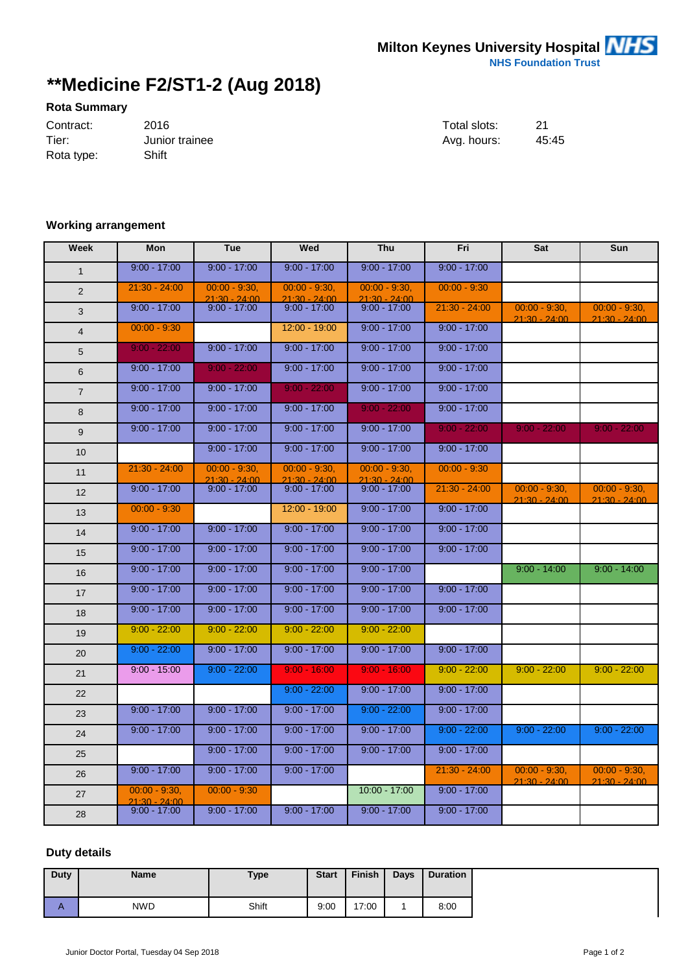## **\*\*Medicine F2/ST1-2 (Aug 2018)**

## **Rota Summary**

| Contract:  | 2016           | Total slots: | 21 |
|------------|----------------|--------------|----|
| Tier:      | Junior trainee | Ava. hours:  | 45 |
| Rota type: | Shift          |              |    |

| Total slots: | 21    |
|--------------|-------|
| Ava. hours:  | 45:45 |

## **Working arrangement**

| Week           | <b>Mon</b>                       | <b>Tue</b>                        | Wed                               | <b>Thu</b>                         | Fri             | Sat                                | Sun                                |
|----------------|----------------------------------|-----------------------------------|-----------------------------------|------------------------------------|-----------------|------------------------------------|------------------------------------|
| $\mathbf{1}$   | $9:00 - 17:00$                   | $9:00 - 17:00$                    | $9:00 - 17:00$                    | $9:00 - 17:00$                     | $9:00 - 17:00$  |                                    |                                    |
| 2              | $21:30 - 24:00$                  | $00:00 - 9:30$<br>$21:30 - 24:00$ | $00:00 - 9:30$<br>$21:30 - 24:00$ | $00:00 - 9:30,$<br>$21:30 - 24:00$ | $00:00 - 9:30$  |                                    |                                    |
| 3              | $9:00 - 17:00$                   | $9.00 - 17.00$                    | $9:00 - 17:00$                    | $9:00 - 17:00$                     | $21:30 - 24:00$ | $00:00 - 9:30,$<br>$21.30 - 24.00$ | $00:00 - 9:30,$<br>$21.30 - 24.00$ |
| $\overline{4}$ | $00:00 - 9:30$                   |                                   | $12:00 - 19:00$                   | $9:00 - 17:00$                     | $9:00 - 17:00$  |                                    |                                    |
| 5              | $9:00 - 22:00$                   | $9:00 - 17:00$                    | $9:00 - 17:00$                    | $9:00 - 17:00$                     | $9:00 - 17:00$  |                                    |                                    |
| 6              | $9:00 - 17:00$                   | $9:00 - 22:00$                    | $9:00 - 17:00$                    | $9:00 - 17:00$                     | $9:00 - 17:00$  |                                    |                                    |
| $\overline{7}$ | $9:00 - 17:00$                   | $9:00 - 17:00$                    | $9:00 - 22:00$                    | $9:00 - 17:00$                     | $9:00 - 17:00$  |                                    |                                    |
| 8              | $9:00 - 17:00$                   | $9:00 - 17:00$                    | $9:00 - 17:00$                    | $9:00 - 22:00$                     | $9:00 - 17:00$  |                                    |                                    |
| 9              | $9:00 - 17:00$                   | $9:00 - 17:00$                    | $9:00 - 17:00$                    | $9:00 - 17:00$                     | $9:00 - 22:00$  | $9:00 - 22:00$                     | $9:00 - 22:00$                     |
| 10             |                                  | $9:00 - 17:00$                    | $9:00 - 17:00$                    | $9:00 - 17:00$                     | $9:00 - 17:00$  |                                    |                                    |
| 11             | $21:30 - 24:00$                  | $00:00 - 9:30$<br>$21:30 - 24:00$ | $00:00 - 9:30$<br>$21:30 - 24:00$ | $00:00 - 9:30,$<br>$21:30 - 24:00$ | $00:00 - 9:30$  |                                    |                                    |
| 12             | $9:00 - 17:00$                   | $9:00 - 17:00$                    | $9:00 - 17:00$                    | $9:00 - 17:00$                     | $21:30 - 24:00$ | $00:00 - 9:30$<br>$21:30 - 24:00$  | $00:00 - 9:30$<br>$21.30 - 24.00$  |
| 13             | $00:00 - 9:30$                   |                                   | $12:00 - 19:00$                   | $9:00 - 17:00$                     | $9:00 - 17:00$  |                                    |                                    |
| 14             | $9:00 - 17:00$                   | $9:00 - 17:00$                    | $9:00 - 17:00$                    | $9:00 - 17:00$                     | $9:00 - 17:00$  |                                    |                                    |
| 15             | $9:00 - 17:00$                   | $9:00 - 17:00$                    | $9:00 - 17:00$                    | $9:00 - 17:00$                     | $9:00 - 17:00$  |                                    |                                    |
| 16             | $9:00 - 17:00$                   | $9:00 - 17:00$                    | $9:00 - 17:00$                    | $9:00 - 17:00$                     |                 | $9:00 - 14:00$                     | $9:00 - 14:00$                     |
| 17             | $9:00 - 17:00$                   | $9:00 - 17:00$                    | $9:00 - 17:00$                    | $9:00 - 17:00$                     | $9:00 - 17:00$  |                                    |                                    |
| 18             | $9:00 - 17:00$                   | $9:00 - 17:00$                    | $9:00 - 17:00$                    | $9:00 - 17:00$                     | $9:00 - 17:00$  |                                    |                                    |
| 19             | $9:00 - 22:00$                   | $9:00 - 22:00$                    | $9:00 - 22:00$                    | $9:00 - 22:00$                     |                 |                                    |                                    |
| 20             | $9:00 - 22:00$                   | $9:00 - 17:00$                    | $9:00 - 17:00$                    | $9:00 - 17:00$                     | $9:00 - 17:00$  |                                    |                                    |
| 21             | $9:00 - 15:00$                   | $9:00 - 22:00$                    | $9:00 - 16:00$                    | $9:00 - 16:00$                     | $9:00 - 22:00$  | $9:00 - 22:00$                     | $9:00 - 22:00$                     |
| 22             |                                  |                                   | $9:00 - 22:00$                    | $9:00 - 17:00$                     | $9:00 - 17:00$  |                                    |                                    |
| 23             | $9:00 - 17:00$                   | $9:00 - 17:00$                    | $9:00 - 17:00$                    | $9:00 - 22:00$                     | $9:00 - 17:00$  |                                    |                                    |
| 24             | $9:00 - 17:00$                   | $9:00 - 17:00$                    | $9:00 - 17:00$                    | $9:00 - 17:00$                     | $9:00 - 22:00$  | $9:00 - 22:00$                     | $9:00 - 22:00$                     |
| 25             |                                  | $9:00 - 17:00$                    | $9:00 - 17:00$                    | $9:00 - 17:00$                     | $9:00 - 17:00$  |                                    |                                    |
| 26             | $9:00 - 17:00$                   | $9:00 - 17:00$                    | $9:00 - 17:00$                    |                                    | $21:30 - 24:00$ | $00:00 - 9:30,$<br>$21:30 - 24:00$ | $00:00 - 9:30$<br>$21:30 - 24:00$  |
| 27             | $00:00 - 9:30,$<br>21.30 - 24.00 | $00:00 - 9:30$                    |                                   | $10:00 - 17:00$                    | $9:00 - 17:00$  |                                    |                                    |
| 28             | $9:00 - 17:00$                   | $9:00 - 17:00$                    | $9:00 - 17:00$                    | $9:00 - 17:00$                     | $9:00 - 17:00$  |                                    |                                    |

## **Duty details**

| Duty | <b>Name</b> | <b>Type</b> | <b>Start</b> | <b>Finish</b> | Days | <b>Duration</b> |
|------|-------------|-------------|--------------|---------------|------|-----------------|
| n    | <b>NWD</b>  | Shift       | 9:00         | 17:00         |      | 8:00            |